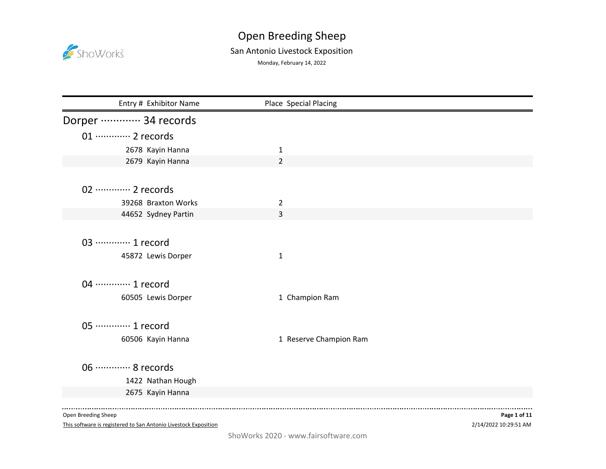

## Open Breeding Sheep San Antonio Livestock Exposition

Monday, February 14, 2022

| Entry # Exhibitor Name     | Place Special Placing  |  |
|----------------------------|------------------------|--|
| Dorper ………… 34 records     |                        |  |
| 01 ············· 2 records |                        |  |
| 2678 Kayin Hanna           | 1                      |  |
| 2679 Kayin Hanna           | $\overline{2}$         |  |
|                            |                        |  |
| 02 ············· 2 records |                        |  |
| 39268 Braxton Works        | $\overline{2}$         |  |
| 44652 Sydney Partin        | 3                      |  |
|                            |                        |  |
| 03 ·············· 1 record |                        |  |
| 45872 Lewis Dorper         | $\mathbf{1}$           |  |
|                            |                        |  |
| 04 ………… 1 record           |                        |  |
| 60505 Lewis Dorper         | 1 Champion Ram         |  |
|                            |                        |  |
| 05 ·············· 1 record |                        |  |
| 60506 Kayin Hanna          | 1 Reserve Champion Ram |  |
|                            |                        |  |
| 06 ············· 8 records |                        |  |
| 1422 Nathan Hough          |                        |  |
| 2675 Kayin Hanna           |                        |  |
|                            |                        |  |

Open Breeding Sheep

This software is registered to San Antonio Livestock Exposition

2/14/2022 10:29:51 AM **Page 1 of 11**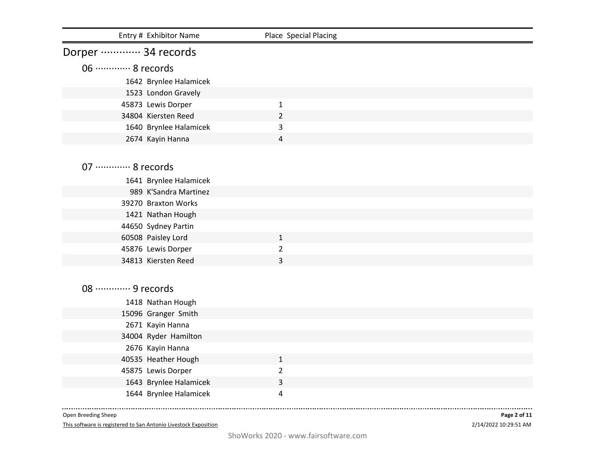| Entry # Exhibitor Name     | Place Special Placing |  |
|----------------------------|-----------------------|--|
| Dorper ………… 34 records     |                       |  |
| 06 ············· 8 records |                       |  |
| 1642 Brynlee Halamicek     |                       |  |
| 1523 London Gravely        |                       |  |
| 45873 Lewis Dorper         | $\mathbf{1}$          |  |
| 34804 Kiersten Reed        | $\overline{2}$        |  |
| 1640 Brynlee Halamicek     | 3                     |  |
| 2674 Kayin Hanna           | 4                     |  |
|                            |                       |  |
| 07 ············· 8 records |                       |  |
|                            |                       |  |
| 1641 Brynlee Halamicek     |                       |  |
| 989 K'Sandra Martinez      |                       |  |
| 39270 Braxton Works        |                       |  |
| 1421 Nathan Hough          |                       |  |
| 44650 Sydney Partin        |                       |  |
| 60508 Paisley Lord         | $\mathbf{1}$          |  |
| 45876 Lewis Dorper         | $\overline{2}$        |  |
| 34813 Kiersten Reed        | 3                     |  |
|                            |                       |  |
| 08 ………… 9 records          |                       |  |
| 1418 Nathan Hough          |                       |  |
| 15096 Granger Smith        |                       |  |
| 2671 Kayin Hanna           |                       |  |
| 34004 Ryder Hamilton       |                       |  |
| 2676 Kayin Hanna           |                       |  |
| 40535 Heather Hough        | $\mathbf{1}$          |  |
| 45875 Lewis Dorper         | $\overline{2}$        |  |
| 1643 Brynlee Halamicek     | 3                     |  |
| 1644 Brynlee Halamicek     | 4                     |  |
|                            |                       |  |

Open Breeding Sheep

This software is registered to San Antonio Livestock Exposition

2/14/2022 10:29:51 AM **Page 2 of 11**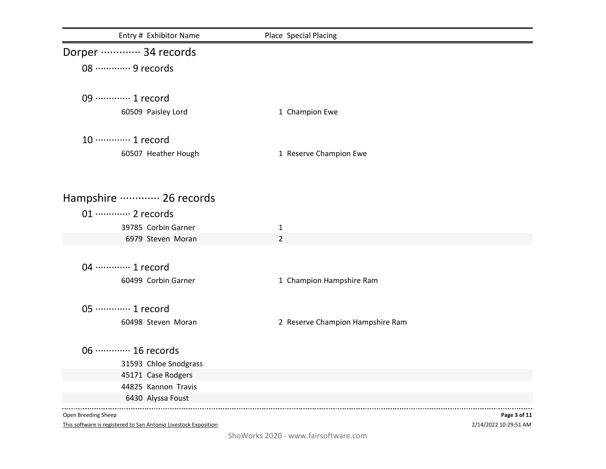| Entry # Exhibitor Name      | Place Special Placing            |
|-----------------------------|----------------------------------|
| Dorper ………… 34 records      |                                  |
| 08 ·············· 9 records |                                  |
|                             |                                  |
| 09 ·············· 1 record  |                                  |
| 60509 Paisley Lord          | 1 Champion Ewe                   |
| 10 ············· 1 record   |                                  |
| 60507 Heather Hough         | 1 Reserve Champion Ewe           |
|                             |                                  |
| Hampshire  26 records       |                                  |
| 01 ············· 2 records  |                                  |
| 39785 Corbin Garner         | $\mathbf{1}$                     |
| 6979 Steven Moran           | $\overline{2}$                   |
|                             |                                  |
| 04 ············· 1 record   |                                  |
| 60499 Corbin Garner         | 1 Champion Hampshire Ram         |
|                             |                                  |
| 05 ············· 1 record   |                                  |
| 60498 Steven Moran          | 2 Reserve Champion Hampshire Ram |
|                             |                                  |
| 06 ············· 16 records |                                  |
| 31593 Chloe Snodgrass       |                                  |
| 45171 Case Rodgers          |                                  |
| 44825 Kannon Travis         |                                  |
| 6430 Alyssa Foust           |                                  |

2/14/2022 10:29:51 AM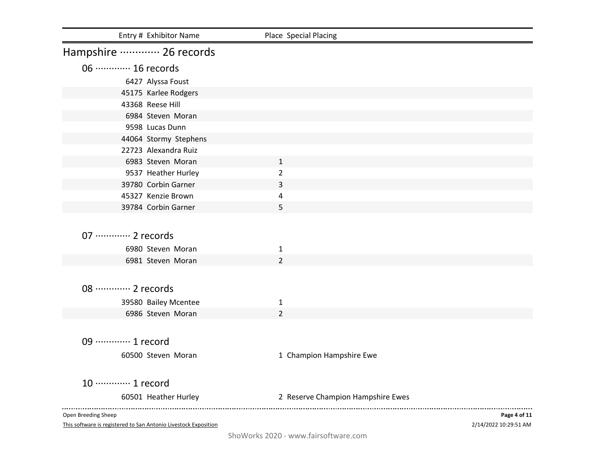| Entry # Exhibitor Name                                          | Place Special Placing             |                       |
|-----------------------------------------------------------------|-----------------------------------|-----------------------|
| Hampshire ………… 26 records                                       |                                   |                       |
| 06 ············· 16 records                                     |                                   |                       |
| 6427 Alyssa Foust                                               |                                   |                       |
| 45175 Karlee Rodgers                                            |                                   |                       |
| 43368 Reese Hill                                                |                                   |                       |
| 6984 Steven Moran                                               |                                   |                       |
| 9598 Lucas Dunn                                                 |                                   |                       |
| 44064 Stormy Stephens                                           |                                   |                       |
| 22723 Alexandra Ruiz                                            |                                   |                       |
| 6983 Steven Moran                                               | $\mathbf{1}$                      |                       |
| 9537 Heather Hurley                                             | $\overline{2}$                    |                       |
| 39780 Corbin Garner                                             | 3                                 |                       |
| 45327 Kenzie Brown                                              | $\overline{a}$                    |                       |
| 39784 Corbin Garner                                             | 5                                 |                       |
|                                                                 |                                   |                       |
| 07 ············· 2 records                                      |                                   |                       |
| 6980 Steven Moran                                               | 1                                 |                       |
| 6981 Steven Moran                                               | $\overline{2}$                    |                       |
|                                                                 |                                   |                       |
|                                                                 |                                   |                       |
| 08 ············· 2 records                                      |                                   |                       |
| 39580 Bailey Mcentee                                            | 1                                 |                       |
| 6986 Steven Moran                                               | $\overline{2}$                    |                       |
|                                                                 |                                   |                       |
| 09 ············· 1 record                                       |                                   |                       |
| 60500 Steven Moran                                              | 1 Champion Hampshire Ewe          |                       |
|                                                                 |                                   |                       |
| 10 ············· 1 record                                       |                                   |                       |
| 60501 Heather Hurley                                            | 2 Reserve Champion Hampshire Ewes |                       |
|                                                                 |                                   |                       |
| Open Breeding Sheep                                             |                                   | Page 4 of 11          |
| This software is registered to San Antonio Livestock Exposition |                                   | 2/14/2022 10:29:51 AM |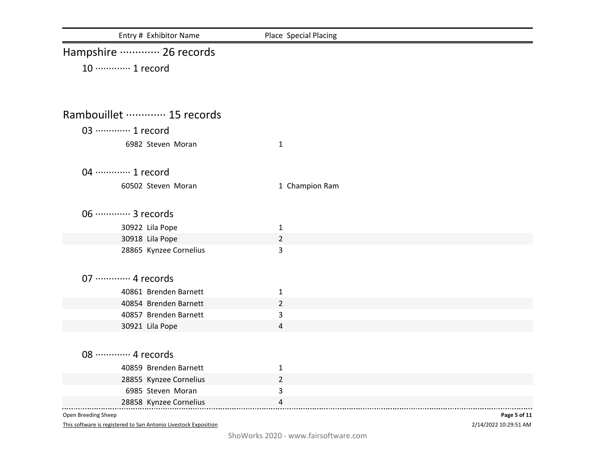| Entry # Exhibitor Name      | Place Special Placing |              |
|-----------------------------|-----------------------|--------------|
| Hampshire  26 records       |                       |              |
| 10 ············· 1 record   |                       |              |
|                             |                       |              |
|                             |                       |              |
| Rambouillet ………… 15 records |                       |              |
| 03 ………… 1 record            |                       |              |
| 6982 Steven Moran           | $\mathbf{1}$          |              |
|                             |                       |              |
| 04 ………… 1 record            |                       |              |
| 60502 Steven Moran          | 1 Champion Ram        |              |
|                             |                       |              |
| 06 ·············· 3 records |                       |              |
| 30922 Lila Pope             | $\mathbf{1}$          |              |
| 30918 Lila Pope             | $\overline{2}$        |              |
| 28865 Kynzee Cornelius      | 3                     |              |
|                             |                       |              |
| 07 ············· 4 records  |                       |              |
| 40861 Brenden Barnett       | $\mathbf{1}$          |              |
| 40854 Brenden Barnett       | $\overline{2}$        |              |
| 40857 Brenden Barnett       | 3                     |              |
| 30921 Lila Pope             | 4                     |              |
|                             |                       |              |
| 08 ············· 4 records  |                       |              |
| 40859 Brenden Barnett       | $\mathbf{1}$          |              |
| 28855 Kynzee Cornelius      | $\overline{2}$        |              |
| 6985 Steven Moran           | $\mathbf{3}$          |              |
| 28858 Kynzee Cornelius      | 4                     |              |
| Open Breeding Sheep         |                       | Page 5 of 11 |

2/14/2022 10:29:51 AM **Page 5 of 11**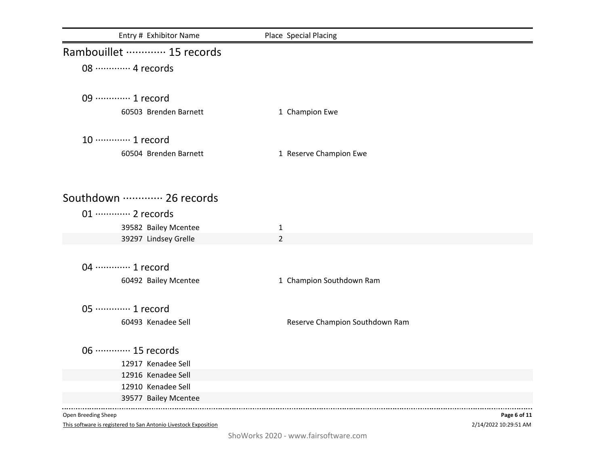| Entry # Exhibitor Name      | Place Special Placing          |  |
|-----------------------------|--------------------------------|--|
| Rambouillet ………… 15 records |                                |  |
| 08 ············· 4 records  |                                |  |
|                             |                                |  |
| 09 ············· 1 record   |                                |  |
| 60503 Brenden Barnett       | 1 Champion Ewe                 |  |
|                             |                                |  |
| 10 ············· 1 record   |                                |  |
| 60504 Brenden Barnett       | 1 Reserve Champion Ewe         |  |
|                             |                                |  |
| Southdown  26 records       |                                |  |
| 01 ············· 2 records  |                                |  |
| 39582 Bailey Mcentee        | $\mathbf{1}$                   |  |
| 39297 Lindsey Grelle        | $\overline{2}$                 |  |
|                             |                                |  |
| 04 ………… 1 record            |                                |  |
| 60492 Bailey Mcentee        | 1 Champion Southdown Ram       |  |
|                             |                                |  |
| 05 ·············· 1 record  |                                |  |
| 60493 Kenadee Sell          | Reserve Champion Southdown Ram |  |
| 06 ············· 15 records |                                |  |
| 12917 Kenadee Sell          |                                |  |
| 12916 Kenadee Sell          |                                |  |
| 12910 Kenadee Sell          |                                |  |
| 39577 Bailey Mcentee        |                                |  |

2/14/2022 10:29:51 AM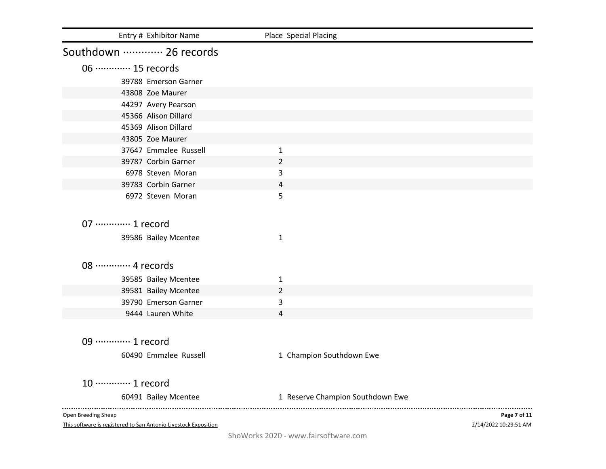| Entry # Exhibitor Name                                          | Place Special Placing            |                       |
|-----------------------------------------------------------------|----------------------------------|-----------------------|
| Southdown  26 records                                           |                                  |                       |
| 06 ············· 15 records                                     |                                  |                       |
| 39788 Emerson Garner                                            |                                  |                       |
| 43808 Zoe Maurer                                                |                                  |                       |
| 44297 Avery Pearson                                             |                                  |                       |
| 45366 Alison Dillard                                            |                                  |                       |
| 45369 Alison Dillard                                            |                                  |                       |
| 43805 Zoe Maurer                                                |                                  |                       |
| 37647 Emmzlee Russell                                           | $\mathbf{1}$                     |                       |
| 39787 Corbin Garner                                             | $\overline{2}$                   |                       |
| 6978 Steven Moran                                               | 3                                |                       |
| 39783 Corbin Garner                                             | 4                                |                       |
| 6972 Steven Moran                                               | 5                                |                       |
| 07 ·············· 1 record                                      |                                  |                       |
| 39586 Bailey Mcentee                                            | 1                                |                       |
| 08 ············· 4 records                                      |                                  |                       |
|                                                                 |                                  |                       |
| 39585 Bailey Mcentee                                            | 1                                |                       |
| 39581 Bailey Mcentee<br>39790 Emerson Garner                    | $\overline{2}$<br>3              |                       |
| 9444 Lauren White                                               | 4                                |                       |
|                                                                 |                                  |                       |
| 09 ·············· 1 record                                      |                                  |                       |
| 60490 Emmzlee Russell                                           | 1 Champion Southdown Ewe         |                       |
| 10 ············· 1 record                                       |                                  |                       |
| 60491 Bailey Mcentee                                            | 1 Reserve Champion Southdown Ewe |                       |
| Open Breeding Sheep                                             |                                  | Page 7 of 11          |
| This software is registered to San Antonio Livestock Exposition |                                  | 2/14/2022 10:29:51 AM |

ShoWorks 2020 - www.fairsoftware.com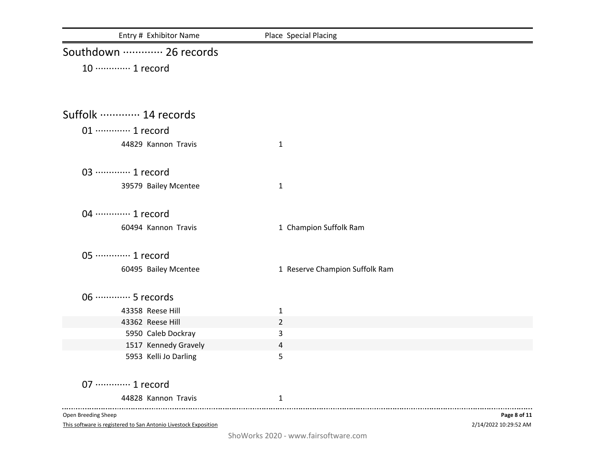| Entry # Exhibitor Name      | Place Special Placing          |
|-----------------------------|--------------------------------|
| Southdown  26 records       |                                |
| 10 ············· 1 record   |                                |
|                             |                                |
| Suffolk ………… 14 records     |                                |
|                             |                                |
| 01 ············· 1 record   |                                |
| 44829 Kannon Travis         | $\mathbf{1}$                   |
| 03 ………… 1 record            |                                |
| 39579 Bailey Mcentee        | $\mathbf{1}$                   |
| 04 ············· 1 record   |                                |
| 60494 Kannon Travis         | 1 Champion Suffolk Ram         |
| 05 ·············· 1 record  |                                |
| 60495 Bailey Mcentee        | 1 Reserve Champion Suffolk Ram |
| 06 ·············· 5 records |                                |
| 43358 Reese Hill            | $\mathbf 1$                    |
| 43362 Reese Hill            | $\overline{2}$                 |
| 5950 Caleb Dockray          | $\overline{3}$                 |
| 1517 Kennedy Gravely        | $\overline{4}$                 |
| 5953 Kelli Jo Darling       | 5                              |
| 07 ············· 1 record   |                                |
| 44828 Kannon Travis         | 1                              |
| Open Breeding Sheep         | Page 8 of 11                   |

2/14/2022 10:29:52 AM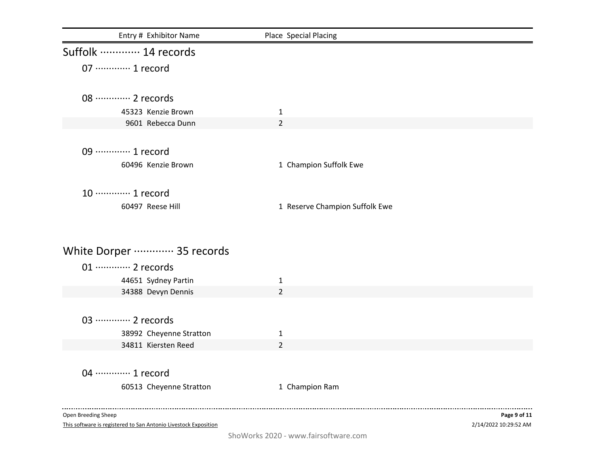| Entry # Exhibitor Name                                          | Place Special Placing          |                       |
|-----------------------------------------------------------------|--------------------------------|-----------------------|
| Suffolk ………… 14 records                                         |                                |                       |
| 07 ············· 1 record                                       |                                |                       |
| 08 ············· 2 records                                      |                                |                       |
| 45323 Kenzie Brown                                              | $\mathbf{1}$                   |                       |
| 9601 Rebecca Dunn                                               | 2                              |                       |
|                                                                 |                                |                       |
| 09 ············· 1 record                                       |                                |                       |
| 60496 Kenzie Brown                                              | 1 Champion Suffolk Ewe         |                       |
|                                                                 |                                |                       |
| 10 ············· 1 record                                       |                                |                       |
| 60497 Reese Hill                                                | 1 Reserve Champion Suffolk Ewe |                       |
|                                                                 |                                |                       |
|                                                                 |                                |                       |
| White Dorper ………… 35 records                                    |                                |                       |
| 01 ············· 2 records                                      |                                |                       |
| 44651 Sydney Partin                                             | $\mathbf{1}$                   |                       |
| 34388 Devyn Dennis                                              | $\overline{2}$                 |                       |
|                                                                 |                                |                       |
| 03 ·············· 2 records                                     |                                |                       |
| 38992 Cheyenne Stratton                                         | $\mathbf{1}$                   |                       |
| 34811 Kiersten Reed                                             | $\overline{2}$                 |                       |
|                                                                 |                                |                       |
| 04 ………… 1 record                                                |                                |                       |
| 60513 Cheyenne Stratton                                         | 1 Champion Ram                 |                       |
| Open Breeding Sheep                                             |                                | Page 9 of 11          |
| This software is registered to San Antonio Livestock Exposition |                                | 2/14/2022 10:29:52 AM |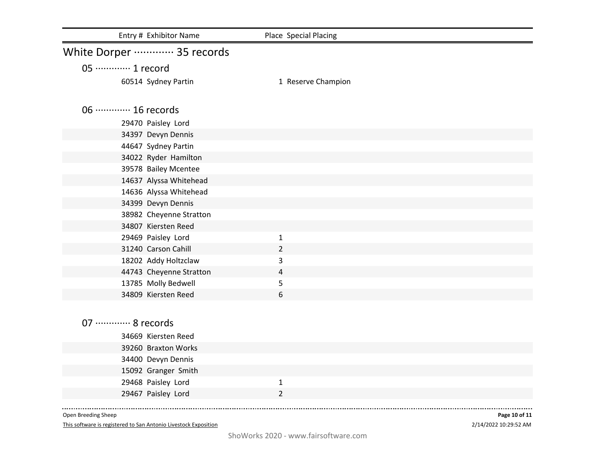| Entry # Exhibitor Name       | Place Special Placing |  |
|------------------------------|-----------------------|--|
| White Dorper ………… 35 records |                       |  |
| 05 ·············· 1 record   |                       |  |
| 60514 Sydney Partin          | 1 Reserve Champion    |  |
| 06 ············· 16 records  |                       |  |
| 29470 Paisley Lord           |                       |  |
| 34397 Devyn Dennis           |                       |  |
| 44647 Sydney Partin          |                       |  |
| 34022 Ryder Hamilton         |                       |  |
| 39578 Bailey Mcentee         |                       |  |
| 14637 Alyssa Whitehead       |                       |  |
| 14636 Alyssa Whitehead       |                       |  |
| 34399 Devyn Dennis           |                       |  |
| 38982 Cheyenne Stratton      |                       |  |
| 34807 Kiersten Reed          |                       |  |
| 29469 Paisley Lord           | $\mathbf{1}$          |  |
| 31240 Carson Cahill          | $\overline{2}$        |  |
| 18202 Addy Holtzclaw         | 3                     |  |
| 44743 Cheyenne Stratton      | $\overline{4}$        |  |
| 13785 Molly Bedwell          | 5                     |  |
| 34809 Kiersten Reed          | 6                     |  |
|                              |                       |  |
| 07 ············· 8 records   |                       |  |
| 34669 Kiersten Reed          |                       |  |
| 39260 Braxton Works          |                       |  |
| 34400 Devyn Dennis           |                       |  |
| 15092 Granger Smith          |                       |  |
| 29468 Paisley Lord           | $\mathbf{1}$          |  |
| 29467 Paisley Lord           | $\overline{2}$        |  |
|                              |                       |  |

Open Breeding Sheep

This software is registered to San Antonio Livestock Exposition

2/14/2022 10:29:52 AM **Page 10 of 11**